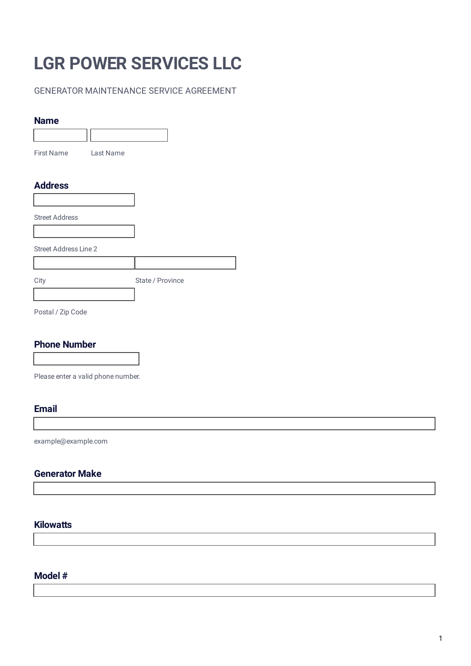# **LGR POWER SERVICES LLC**

## GENERATOR MAINTENANCE SERVICE AGREEMENT

#### **Name**

| .                            |           |                  |
|------------------------------|-----------|------------------|
|                              |           |                  |
| First Name                   | Last Name |                  |
|                              |           |                  |
| <b>Address</b>               |           |                  |
|                              |           |                  |
| <b>Street Address</b>        |           |                  |
|                              |           |                  |
| <b>Street Address Line 2</b> |           |                  |
|                              |           |                  |
| City                         |           | State / Province |
|                              |           |                  |

Postal / Zip Code

# **Phone Number**

Please enter a valid phone number.

#### **Email**

example@example.com

## **Generator Make**

### **Kilowatts**

### **Model #**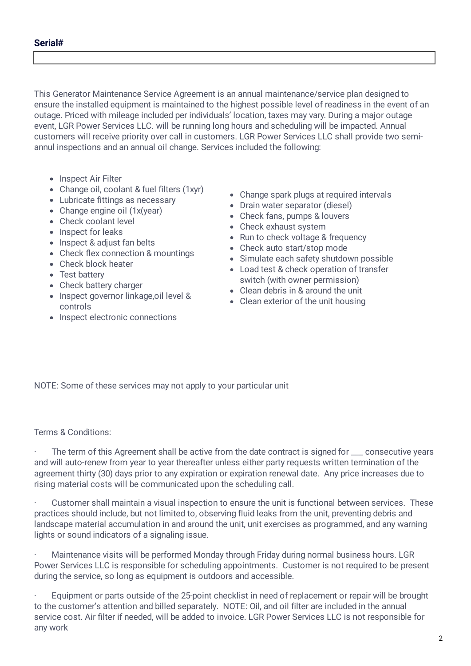This Generator Maintenance Service Agreement is an annual maintenance/service plan designed to ensure the installed equipment is maintained to the highest possible level of readiness in the event of an outage. Priced with mileage included per individuals' location, taxes may vary. During a major outage event, LGR Power Services LLC. will be running long hours and scheduling will be impacted. Annual customers will receive priority over call in customers. LGR Power Services LLC shall provide two semiannul inspections and an annual oil change. Services included the following:

- Inspect Air Filter
- Change oil, coolant & fuel filters (1xyr)
- Lubricate fittings as necessary
- Change engine oil (1x(year)
- Check coolant level
- Inspect for leaks
- Inspect & adjust fan belts
- Check flex connection & mountings
- Check block heater
- Test battery
- Check battery charger
- Inspect governor linkage, oil level & controls
- Inspect electronic connections
- Change spark plugs at required intervals
- Drain water separator (diesel)
- Check fans, pumps & louvers
- Check exhaust system
- Run to check voltage & frequency
- Check auto start/stop mode
- Simulate each safety shutdown possible
- Load test & check operation of transfer switch (with owner permission)
- Clean debris in & around the unit
- Clean exterior of the unit housing

NOTE: Some of these services may not apply to your particular unit

Terms & Conditions:

The term of this Agreement shall be active from the date contract is signed for \_\_\_ consecutive years and will auto-renew from year to year thereafter unless either party requests written termination of the agreement thirty (30) days prior to any expiration or expiration renewal date. Any price increases due to rising material costs will be communicated upon the scheduling call.

· Customer shall maintain a visual inspection to ensure the unit is functional between services. These practices should include, but not limited to, observing fluid leaks from the unit, preventing debris and landscape material accumulation in and around the unit, unit exercises as programmed, and any warning lights or sound indicators of a signaling issue.

· Maintenance visits will be performed Monday through Friday during normal business hours. LGR Power Services LLC is responsible for scheduling appointments. Customer is not required to be present during the service, so long as equipment is outdoors and accessible.

Equipment or parts outside of the 25-point checklist in need of replacement or repair will be brought to the customer's attention and billed separately. NOTE: Oil, and oil filter are included in the annual service cost. Air filter if needed, will be added to invoice. LGR Power Services LLC is not responsible for any work